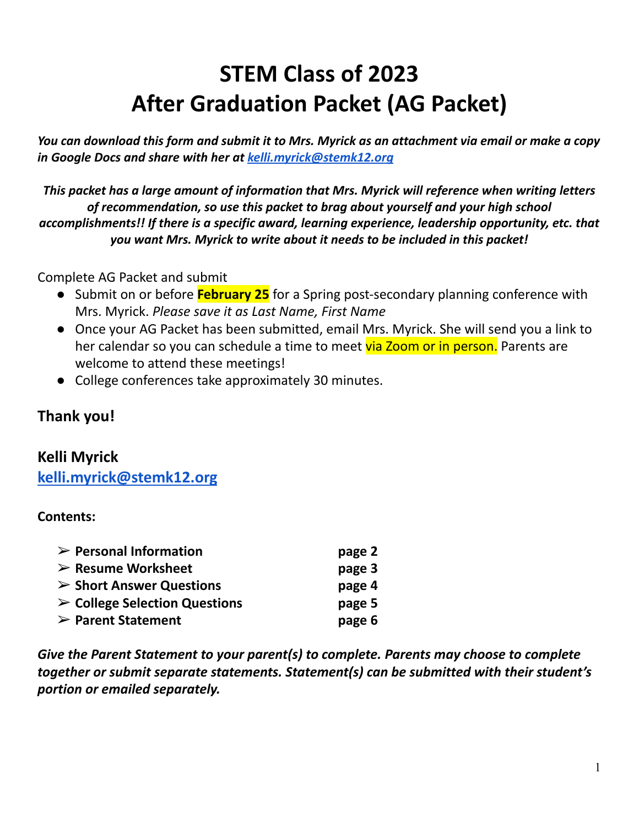# **STEM Class of 2023 After Graduation Packet (AG Packet)**

You can download this form and submit it to Mrs. Myrick as an attachment via email or make a copy *in Google Docs and share with her at [kelli.myrick@stemk12.org](mailto:kelli.myrick@stemk12.org)*

*This packet has a large amount of information that Mrs. Myrick will reference when writing letters of recommendation, so use this packet to brag about yourself and your high school accomplishments!! If there is a specific award, learning experience, leadership opportunity, etc. that you want Mrs. Myrick to write about it needs to be included in this packet!*

Complete AG Packet and submit

- Submit on or before **February 25** for a Spring post-secondary planning conference with Mrs. Myrick. *Please save it as Last Name, First Name*
- Once your AG Packet has been submitted, email Mrs. Myrick. She will send you a link to her calendar so you can schedule a time to meet via Zoom or in person. Parents are welcome to attend these meetings!
- College conferences take approximately 30 minutes.

# **Thank you!**

## **Kelli Myrick**

**[kelli.myrick@stemk12.org](mailto:kelli.myrick@stemk12.org)**

## **Contents:**

| $\triangleright$ Personal Information        | page 2 |
|----------------------------------------------|--------|
| $\triangleright$ Resume Worksheet            | page 3 |
| $\triangleright$ Short Answer Questions      | page 4 |
| $\triangleright$ College Selection Questions | page 5 |
| $\triangleright$ Parent Statement            | page 6 |

*Give the Parent Statement to your parent(s) to complete. Parents may choose to complete together or submit separate statements. Statement(s) can be submitted with their student's portion or emailed separately.*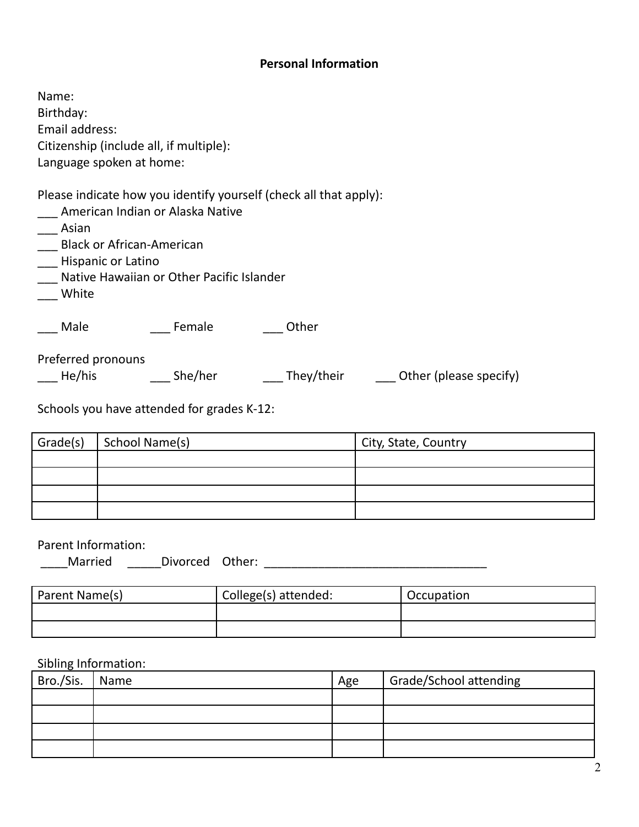#### **Personal Information**

Name: Birthday: Email address: Citizenship (include all, if multiple): Language spoken at home:

Please indicate how you identify yourself (check all that apply):

\_\_\_ American Indian or Alaska Native

\_\_\_ Asian

- \_\_\_ Black or African-American
- \_\_\_ Hispanic or Latino
- \_\_\_ Native Hawaiian or Other Pacific Islander
- \_\_\_ White

\_\_\_ Male \_\_\_\_ Female \_\_\_ \_\_ Other

Preferred pronouns

\_\_\_ He/his \_\_\_\_ \_\_\_ She/her \_\_\_\_ They/their \_\_\_\_ Other (please specify)

Schools you have attended for grades K-12:

| Grade(s) | School Name(s) | City, State, Country |
|----------|----------------|----------------------|
|          |                |                      |
|          |                |                      |
|          |                |                      |
|          |                |                      |

#### Parent Information:

| Married | <b>Divorced</b> | Other: |  |
|---------|-----------------|--------|--|
|         |                 |        |  |

| Parent Name(s) | College(s) attended: | Occupation |
|----------------|----------------------|------------|
|                |                      |            |
|                |                      |            |

#### Sibling Information:

| Bro./Sis.   Name | Age | Grade/School attending |
|------------------|-----|------------------------|
|                  |     |                        |
|                  |     |                        |
|                  |     |                        |
|                  |     |                        |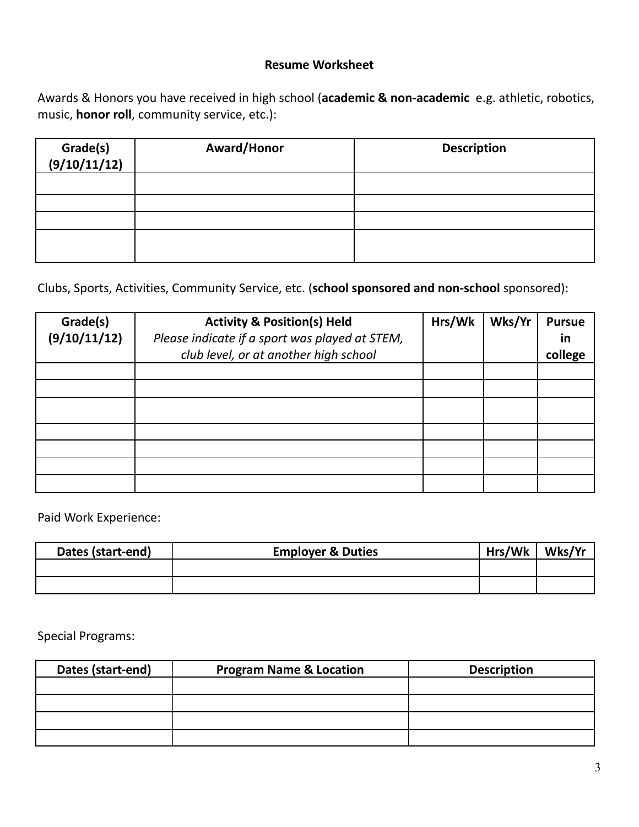#### **Resume Worksheet**

Awards & Honors you have received in high school (**academic & non-academic** e.g. athletic, robotics, music, **honor roll**, community service, etc.):

| Grade(s)<br>(9/10/11/12) | Award/Honor | <b>Description</b> |
|--------------------------|-------------|--------------------|
|                          |             |                    |
|                          |             |                    |
|                          |             |                    |
|                          |             |                    |

Clubs, Sports, Activities, Community Service, etc. (**school sponsored and non-school** sponsored):

| Grade(s)<br>(9/10/11/12) | <b>Activity &amp; Position(s) Held</b><br>Please indicate if a sport was played at STEM, | Hrs/Wk | Wks/Yr | <b>Pursue</b><br>in |
|--------------------------|------------------------------------------------------------------------------------------|--------|--------|---------------------|
|                          | club level, or at another high school                                                    |        |        | college             |
|                          |                                                                                          |        |        |                     |
|                          |                                                                                          |        |        |                     |
|                          |                                                                                          |        |        |                     |
|                          |                                                                                          |        |        |                     |
|                          |                                                                                          |        |        |                     |
|                          |                                                                                          |        |        |                     |
|                          |                                                                                          |        |        |                     |

Paid Work Experience:

| Dates (start-end) | <b>Employer &amp; Duties</b> | Hrs/Wk | Wks/Yr |
|-------------------|------------------------------|--------|--------|
|                   |                              |        |        |
|                   |                              |        |        |

Special Programs:

| Dates (start-end) | <b>Program Name &amp; Location</b> | <b>Description</b> |
|-------------------|------------------------------------|--------------------|
|                   |                                    |                    |
|                   |                                    |                    |
|                   |                                    |                    |
|                   |                                    |                    |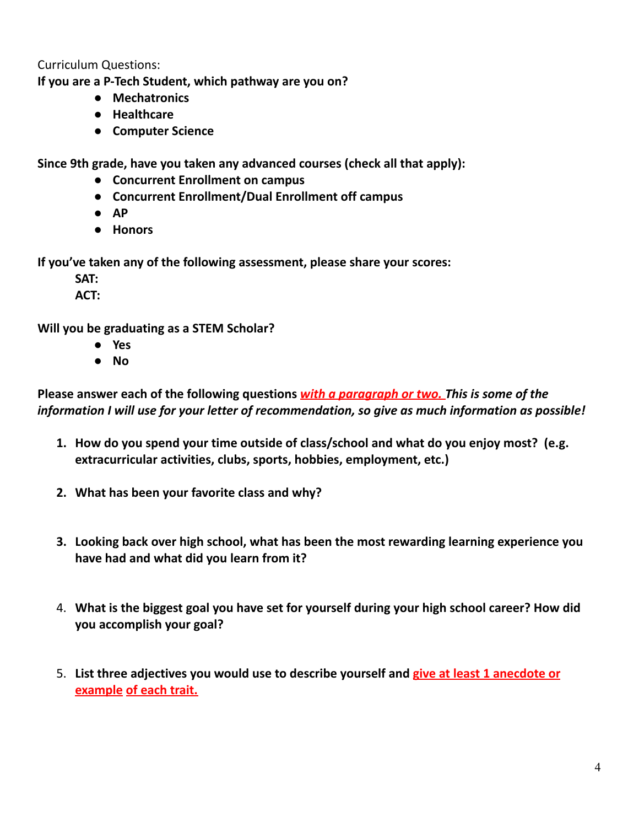Curriculum Questions:

**If you are a P-Tech Student, which pathway are you on?**

- **● Mechatronics**
- **● Healthcare**
- **● Computer Science**

**Since 9th grade, have you taken any advanced courses (check all that apply):**

- **● Concurrent Enrollment on campus**
- **● Concurrent Enrollment/Dual Enrollment off campus**
- **● AP**
- **● Honors**

**If you've taken any of the following assessment, please share your scores:**

**SAT:**

**ACT:**

**Will you be graduating as a STEM Scholar?**

- **● Yes**
- **● No**

**Please answer each of the following questions** *with a paragraph or two. This is some of the information I will use for your letter of recommendation, so give as much information as possible!*

- **1. How do you spend your time outside of class/school and what do you enjoy most? (e.g. extracurricular activities, clubs, sports, hobbies, employment, etc.)**
- **2. What has been your favorite class and why?**
- **3. Looking back over high school, what has been the most rewarding learning experience you have had and what did you learn from it?**
- 4. **What is the biggest goal you have set for yourself during your high school career? How did you accomplish your goal?**
- 5. **List three adjectives you would use to describe yourself and give at least 1 anecdote or example of each trait.**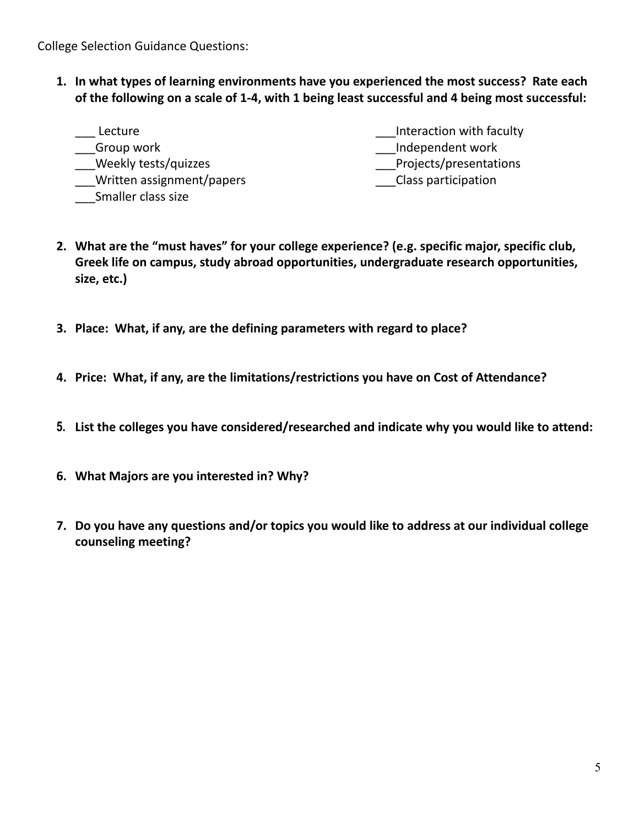College Selection Guidance Questions:

**1. In what types of learning environments have you experienced the most success? Rate each of the following on a scale of 1-4, with 1 being least successful and 4 being most successful:**

| Lecture                   | Interaction with faculty |
|---------------------------|--------------------------|
| Group work                | Independent work         |
| Weekly tests/quizzes      | Projects/presentations   |
| Written assignment/papers | Class participation      |
| Smaller class size        |                          |

- **2. What are the "must haves" for your college experience? (e.g. specific major, specific club, Greek life on campus, study abroad opportunities, undergraduate research opportunities, size, etc.)**
- **3. Place: What, if any, are the defining parameters with regard to place?**
- **4. Price: What, if any, are the limitations/restrictions you have on Cost of Attendance?**
- **5. List the colleges you have considered/researched and indicate why you would like to attend:**
- **6. What Majors are you interested in? Why?**
- **7. Do you have any questions and/or topics you would like to address at our individual college counseling meeting?**